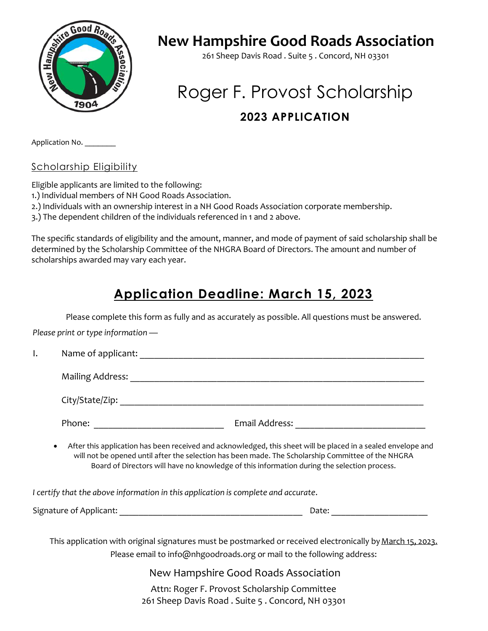

## **New Hampshire Good Roads Association**

261 Sheep Davis Road . Suite 5 . Concord, NH 03301

## Roger F. Provost Scholarship **2023 APPLICATION**

Application No.

Scholarship Eligibility

Eligible applicants are limited to the following:

1.) Individual members of NH Good Roads Association.

2.) Individuals with an ownership interest in a NH Good Roads Association corporate membership.

3.) The dependent children of the individuals referenced in 1 and 2 above.

The specific standards of eligibility and the amount, manner, and mode of payment of said scholarship shall be determined by the Scholarship Committee of the NHGRA Board of Directors. The amount and number of scholarships awarded may vary each year.

## **Application Deadline: March 15, 2023**

Please complete this form as fully and as accurately as possible. All questions must be answered.

*Please print or type information —*

| ı. |  |                                                                                             |                                      |                                                                                                                                                                                                                     |  |
|----|--|---------------------------------------------------------------------------------------------|--------------------------------------|---------------------------------------------------------------------------------------------------------------------------------------------------------------------------------------------------------------------|--|
|    |  |                                                                                             |                                      |                                                                                                                                                                                                                     |  |
|    |  |                                                                                             |                                      |                                                                                                                                                                                                                     |  |
|    |  |                                                                                             |                                      | Email Address: National Address: National Address: National Address: National Address: National Address                                                                                                             |  |
|    |  | Board of Directors will have no knowledge of this information during the selection process. |                                      | After this application has been received and acknowledged, this sheet will be placed in a sealed envelope and<br>will not be opened until after the selection has been made. The Scholarship Committee of the NHGRA |  |
|    |  | I certify that the above information in this application is complete and accurate.          |                                      |                                                                                                                                                                                                                     |  |
|    |  |                                                                                             |                                      |                                                                                                                                                                                                                     |  |
|    |  | Please email to info@nhgoodroads.org or mail to the following address:                      |                                      | This application with original signatures must be postmarked or received electronically by March 15, 2023.                                                                                                          |  |
|    |  |                                                                                             | New Hampshire Good Roads Association |                                                                                                                                                                                                                     |  |

Attn: Roger F. Provost Scholarship Committee 261 Sheep Davis Road . Suite 5 . Concord, NH 03301